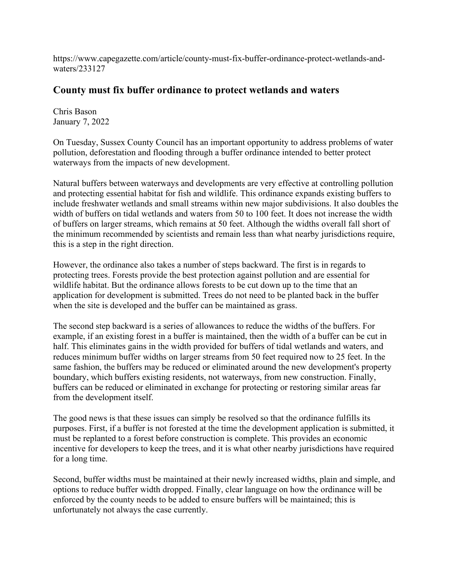https://www.capegazette.com/article/county-must-fix-buffer-ordinance-protect-wetlands-andwaters/233127

## **County must fix buffer ordinance to protect wetlands and waters**

Chris Bason January 7, 2022

On Tuesday, Sussex County Council has an important opportunity to address problems of water pollution, deforestation and flooding through a buffer ordinance intended to better protect waterways from the impacts of new development.

Natural buffers between waterways and developments are very effective at controlling pollution and protecting essential habitat for fish and wildlife. This ordinance expands existing buffers to include freshwater wetlands and small streams within new major subdivisions. It also doubles the width of buffers on tidal wetlands and waters from 50 to 100 feet. It does not increase the width of buffers on larger streams, which remains at 50 feet. Although the widths overall fall short of the minimum recommended by scientists and remain less than what nearby jurisdictions require, this is a step in the right direction.

However, the ordinance also takes a number of steps backward. The first is in regards to protecting trees. Forests provide the best protection against pollution and are essential for wildlife habitat. But the ordinance allows forests to be cut down up to the time that an application for development is submitted. Trees do not need to be planted back in the buffer when the site is developed and the buffer can be maintained as grass.

The second step backward is a series of allowances to reduce the widths of the buffers. For example, if an existing forest in a buffer is maintained, then the width of a buffer can be cut in half. This eliminates gains in the width provided for buffers of tidal wetlands and waters, and reduces minimum buffer widths on larger streams from 50 feet required now to 25 feet. In the same fashion, the buffers may be reduced or eliminated around the new development's property boundary, which buffers existing residents, not waterways, from new construction. Finally, buffers can be reduced or eliminated in exchange for protecting or restoring similar areas far from the development itself.

The good news is that these issues can simply be resolved so that the ordinance fulfills its purposes. First, if a buffer is not forested at the time the development application is submitted, it must be replanted to a forest before construction is complete. This provides an economic incentive for developers to keep the trees, and it is what other nearby jurisdictions have required for a long time.

Second, buffer widths must be maintained at their newly increased widths, plain and simple, and options to reduce buffer width dropped. Finally, clear language on how the ordinance will be enforced by the county needs to be added to ensure buffers will be maintained; this is unfortunately not always the case currently.